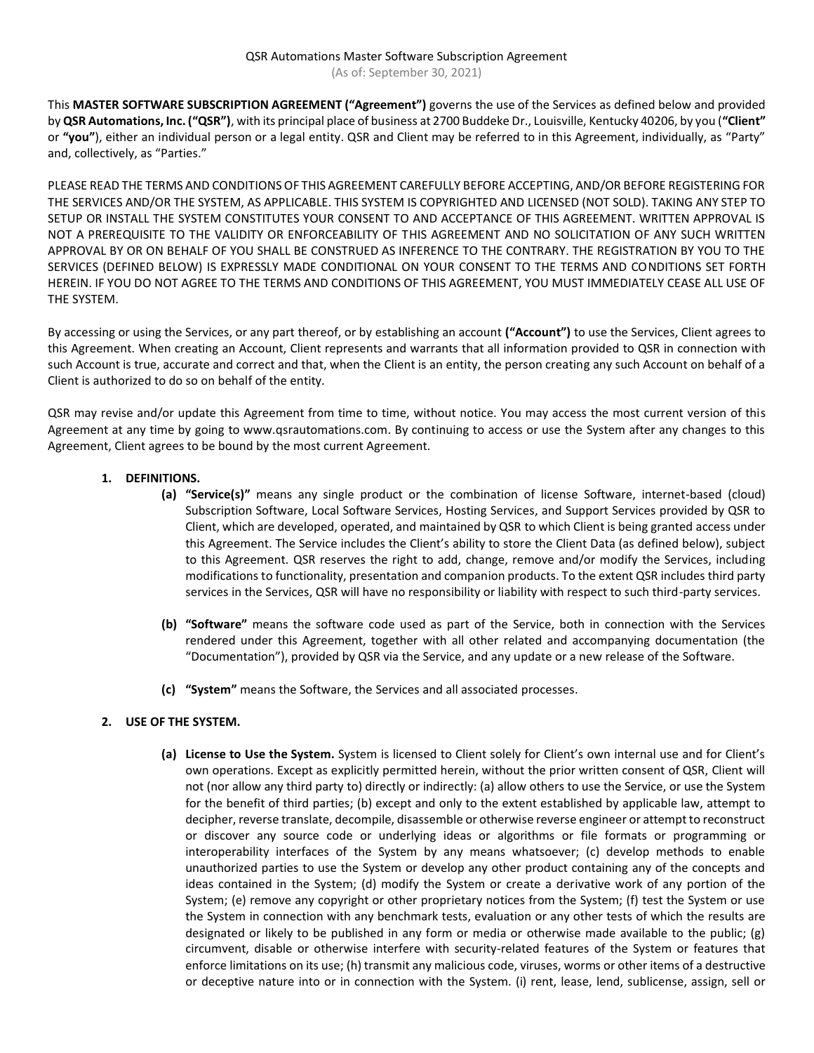This **MASTER SOFTWARE SUBSCRIPTION AGREEMENT ("Agreement")** governs the use of the Services as defined below and provided by **QSR Automations, Inc. ("QSR")**, with its principal place of business at 2700 Buddeke Dr., Louisville, Kentucky 40206, by you (**"Client"**  or **"you"**), either an individual person or a legal entity. QSR and Client may be referred to in this Agreement, individually, as "Party" and, collectively, as "Parties."

PLEASE READ THE TERMS AND CONDITIONS OF THIS AGREEMENT CAREFULLY BEFORE ACCEPTING, AND/OR BEFORE REGISTERING FOR THE SERVICES AND/OR THE SYSTEM, AS APPLICABLE. THIS SYSTEM IS COPYRIGHTED AND LICENSED (NOT SOLD). TAKING ANY STEP TO SETUP OR INSTALL THE SYSTEM CONSTITUTES YOUR CONSENT TO AND ACCEPTANCE OF THIS AGREEMENT. WRITTEN APPROVAL IS NOT A PREREQUISITE TO THE VALIDITY OR ENFORCEABILITY OF THIS AGREEMENT AND NO SOLICITATION OF ANY SUCH WRITTEN APPROVAL BY OR ON BEHALF OF YOU SHALL BE CONSTRUED AS INFERENCE TO THE CONTRARY. THE REGISTRATION BY YOU TO THE SERVICES (DEFINED BELOW) IS EXPRESSLY MADE CONDITIONAL ON YOUR CONSENT TO THE TERMS AND CONDITIONS SET FORTH HEREIN. IF YOU DO NOT AGREE TO THE TERMS AND CONDITIONS OF THIS AGREEMENT, YOU MUST IMMEDIATELY CEASE ALL USE OF THE SYSTEM.

By accessing or using the Services, or any part thereof, or by establishing an account **("Account")** to use the Services, Client agrees to this Agreement. When creating an Account, Client represents and warrants that all information provided to QSR in connection with such Account is true, accurate and correct and that, when the Client is an entity, the person creating any such Account on behalf of a Client is authorized to do so on behalf of the entity.

QSR may revise and/or update this Agreement from time to time, without notice. You may access the most current version of this Agreement at any time by going to www.qsrautomations.com. By continuing to access or use the System after any changes to this Agreement, Client agrees to be bound by the most current Agreement.

## **1. DEFINITIONS.**

- **(a) "Service(s)"** means any single product or the combination of license Software, internet-based (cloud) Subscription Software, Local Software Services, Hosting Services, and Support Services provided by QSR to Client, which are developed, operated, and maintained by QSR to which Client is being granted access under this Agreement. The Service includes the Client's ability to store the Client Data (as defined below), subject to this Agreement. QSR reserves the right to add, change, remove and/or modify the Services, including modifications to functionality, presentation and companion products. To the extent QSR includes third party services in the Services, QSR will have no responsibility or liability with respect to such third-party services.
- **(b) "Software"** means the software code used as part of the Service, both in connection with the Services rendered under this Agreement, together with all other related and accompanying documentation (the "Documentation"), provided by QSR via the Service, and any update or a new release of the Software.
- **(c) "System"** means the Software, the Services and all associated processes.

## **2. USE OF THE SYSTEM.**

**(a) License to Use the System.** System is licensed to Client solely for Client's own internal use and for Client's own operations. Except as explicitly permitted herein, without the prior written consent of QSR, Client will not (nor allow any third party to) directly or indirectly: (a) allow others to use the Service, or use the System for the benefit of third parties; (b) except and only to the extent established by applicable law, attempt to decipher, reverse translate, decompile, disassemble or otherwise reverse engineer or attempt to reconstruct or discover any source code or underlying ideas or algorithms or file formats or programming or interoperability interfaces of the System by any means whatsoever; (c) develop methods to enable unauthorized parties to use the System or develop any other product containing any of the concepts and ideas contained in the System; (d) modify the System or create a derivative work of any portion of the System; (e) remove any copyright or other proprietary notices from the System; (f) test the System or use the System in connection with any benchmark tests, evaluation or any other tests of which the results are designated or likely to be published in any form or media or otherwise made available to the public; (g) circumvent, disable or otherwise interfere with security-related features of the System or features that enforce limitations on its use; (h) transmit any malicious code, viruses, worms or other items of a destructive or deceptive nature into or in connection with the System. (i) rent, lease, lend, sublicense, assign, sell or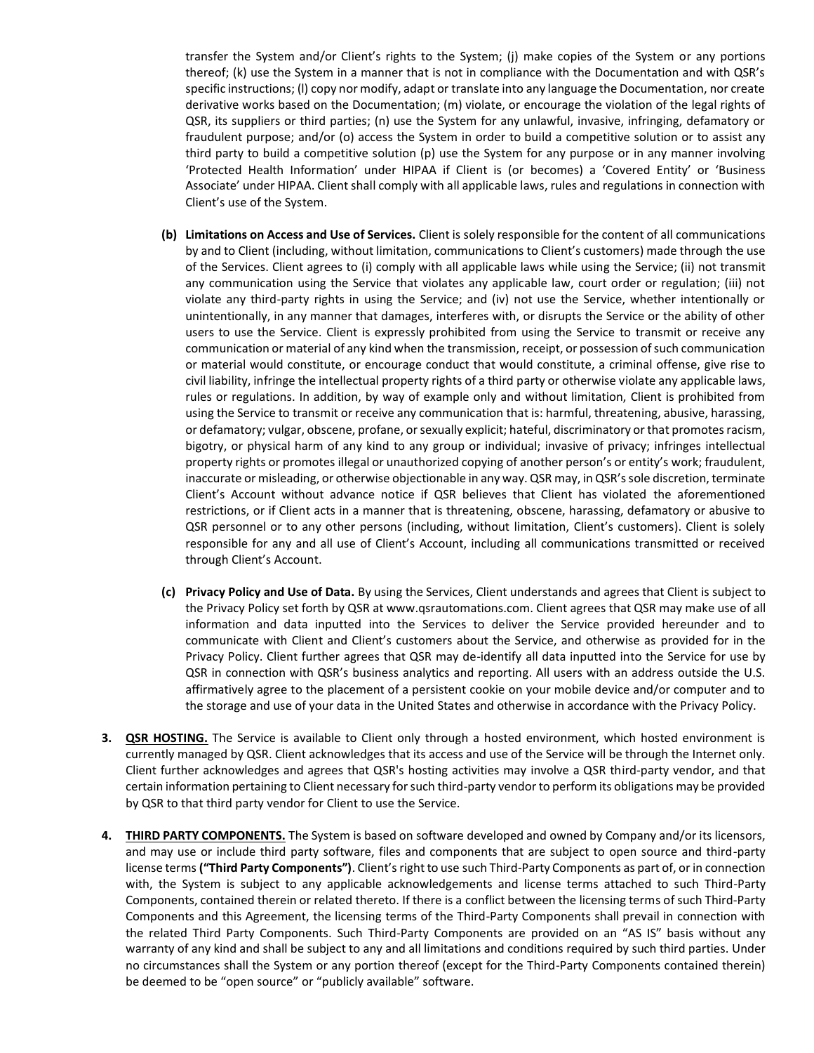transfer the System and/or Client's rights to the System; (j) make copies of the System or any portions thereof; (k) use the System in a manner that is not in compliance with the Documentation and with QSR's specific instructions; (l) copy nor modify, adapt or translate into any language the Documentation, nor create derivative works based on the Documentation; (m) violate, or encourage the violation of the legal rights of QSR, its suppliers or third parties; (n) use the System for any unlawful, invasive, infringing, defamatory or fraudulent purpose; and/or (o) access the System in order to build a competitive solution or to assist any third party to build a competitive solution (p) use the System for any purpose or in any manner involving 'Protected Health Information' under HIPAA if Client is (or becomes) a 'Covered Entity' or 'Business Associate' under HIPAA. Client shall comply with all applicable laws, rules and regulations in connection with Client's use of the System.

- **(b) Limitations on Access and Use of Services.** Client is solely responsible for the content of all communications by and to Client (including, without limitation, communications to Client's customers) made through the use of the Services. Client agrees to (i) comply with all applicable laws while using the Service; (ii) not transmit any communication using the Service that violates any applicable law, court order or regulation; (iii) not violate any third-party rights in using the Service; and (iv) not use the Service, whether intentionally or unintentionally, in any manner that damages, interferes with, or disrupts the Service or the ability of other users to use the Service. Client is expressly prohibited from using the Service to transmit or receive any communication or material of any kind when the transmission, receipt, or possession of such communication or material would constitute, or encourage conduct that would constitute, a criminal offense, give rise to civil liability, infringe the intellectual property rights of a third party or otherwise violate any applicable laws, rules or regulations. In addition, by way of example only and without limitation, Client is prohibited from using the Service to transmit or receive any communication that is: harmful, threatening, abusive, harassing, or defamatory; vulgar, obscene, profane, or sexually explicit; hateful, discriminatory or that promotes racism, bigotry, or physical harm of any kind to any group or individual; invasive of privacy; infringes intellectual property rights or promotes illegal or unauthorized copying of another person's or entity's work; fraudulent, inaccurate or misleading, or otherwise objectionable in any way. QSR may, in QSR's sole discretion, terminate Client's Account without advance notice if QSR believes that Client has violated the aforementioned restrictions, or if Client acts in a manner that is threatening, obscene, harassing, defamatory or abusive to QSR personnel or to any other persons (including, without limitation, Client's customers). Client is solely responsible for any and all use of Client's Account, including all communications transmitted or received through Client's Account.
- **(c) Privacy Policy and Use of Data.** By using the Services, Client understands and agrees that Client is subject to the Privacy Policy set forth by QSR at www.qsrautomations.com. Client agrees that QSR may make use of all information and data inputted into the Services to deliver the Service provided hereunder and to communicate with Client and Client's customers about the Service, and otherwise as provided for in the Privacy Policy. Client further agrees that QSR may de-identify all data inputted into the Service for use by QSR in connection with QSR's business analytics and reporting. All users with an address outside the U.S. affirmatively agree to the placement of a persistent cookie on your mobile device and/or computer and to the storage and use of your data in the United States and otherwise in accordance with the Privacy Policy.
- **3. QSR HOSTING.** The Service is available to Client only through a hosted environment, which hosted environment is currently managed by QSR. Client acknowledges that its access and use of the Service will be through the Internet only. Client further acknowledges and agrees that QSR's hosting activities may involve a QSR third-party vendor, and that certain information pertaining to Client necessary for such third-party vendor to perform its obligations may be provided by QSR to that third party vendor for Client to use the Service.
- **4. THIRD PARTY COMPONENTS.** The System is based on software developed and owned by Company and/or its licensors, and may use or include third party software, files and components that are subject to open source and third-party license terms **("Third Party Components")**. Client's right to use such Third-Party Components as part of, or in connection with, the System is subject to any applicable acknowledgements and license terms attached to such Third-Party Components, contained therein or related thereto. If there is a conflict between the licensing terms of such Third-Party Components and this Agreement, the licensing terms of the Third-Party Components shall prevail in connection with the related Third Party Components. Such Third-Party Components are provided on an "AS IS" basis without any warranty of any kind and shall be subject to any and all limitations and conditions required by such third parties. Under no circumstances shall the System or any portion thereof (except for the Third-Party Components contained therein) be deemed to be "open source" or "publicly available" software.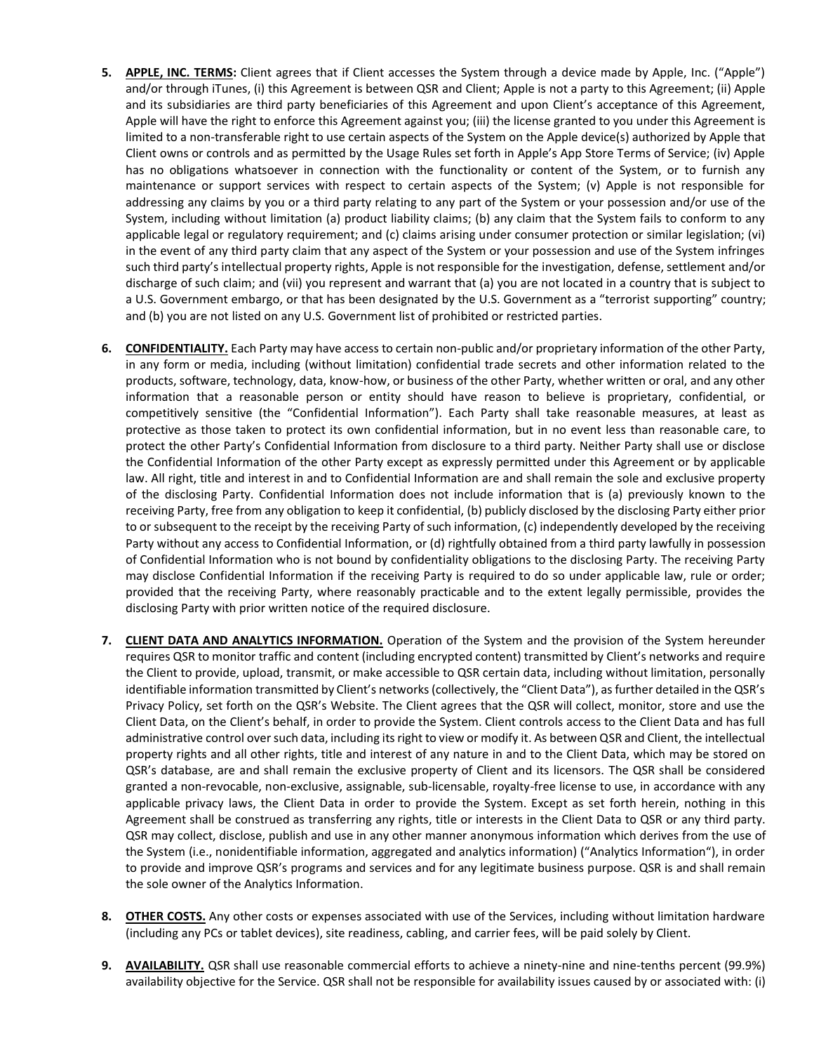- **5. APPLE, INC. TERMS:** Client agrees that if Client accesses the System through a device made by Apple, Inc. ("Apple") and/or through iTunes, (i) this Agreement is between QSR and Client; Apple is not a party to this Agreement; (ii) Apple and its subsidiaries are third party beneficiaries of this Agreement and upon Client's acceptance of this Agreement, Apple will have the right to enforce this Agreement against you; (iii) the license granted to you under this Agreement is limited to a non-transferable right to use certain aspects of the System on the Apple device(s) authorized by Apple that Client owns or controls and as permitted by the Usage Rules set forth in Apple's App Store Terms of Service; (iv) Apple has no obligations whatsoever in connection with the functionality or content of the System, or to furnish any maintenance or support services with respect to certain aspects of the System; (v) Apple is not responsible for addressing any claims by you or a third party relating to any part of the System or your possession and/or use of the System, including without limitation (a) product liability claims; (b) any claim that the System fails to conform to any applicable legal or regulatory requirement; and (c) claims arising under consumer protection or similar legislation; (vi) in the event of any third party claim that any aspect of the System or your possession and use of the System infringes such third party's intellectual property rights, Apple is not responsible for the investigation, defense, settlement and/or discharge of such claim; and (vii) you represent and warrant that (a) you are not located in a country that is subject to a U.S. Government embargo, or that has been designated by the U.S. Government as a "terrorist supporting" country; and (b) you are not listed on any U.S. Government list of prohibited or restricted parties.
- **6. CONFIDENTIALITY.** Each Party may have access to certain non-public and/or proprietary information of the other Party, in any form or media, including (without limitation) confidential trade secrets and other information related to the products, software, technology, data, know-how, or business of the other Party, whether written or oral, and any other information that a reasonable person or entity should have reason to believe is proprietary, confidential, or competitively sensitive (the "Confidential Information"). Each Party shall take reasonable measures, at least as protective as those taken to protect its own confidential information, but in no event less than reasonable care, to protect the other Party's Confidential Information from disclosure to a third party. Neither Party shall use or disclose the Confidential Information of the other Party except as expressly permitted under this Agreement or by applicable law. All right, title and interest in and to Confidential Information are and shall remain the sole and exclusive property of the disclosing Party. Confidential Information does not include information that is (a) previously known to the receiving Party, free from any obligation to keep it confidential, (b) publicly disclosed by the disclosing Party either prior to or subsequent to the receipt by the receiving Party of such information, (c) independently developed by the receiving Party without any access to Confidential Information, or (d) rightfully obtained from a third party lawfully in possession of Confidential Information who is not bound by confidentiality obligations to the disclosing Party. The receiving Party may disclose Confidential Information if the receiving Party is required to do so under applicable law, rule or order; provided that the receiving Party, where reasonably practicable and to the extent legally permissible, provides the disclosing Party with prior written notice of the required disclosure.
- **7. CLIENT DATA AND ANALYTICS INFORMATION.** Operation of the System and the provision of the System hereunder requires QSR to monitor traffic and content (including encrypted content) transmitted by Client's networks and require the Client to provide, upload, transmit, or make accessible to QSR certain data, including without limitation, personally identifiable information transmitted by Client's networks (collectively, the "Client Data"), as further detailed in the QSR's Privacy Policy, set forth on the QSR's Website. The Client agrees that the QSR will collect, monitor, store and use the Client Data, on the Client's behalf, in order to provide the System. Client controls access to the Client Data and has full administrative control over such data, including its right to view or modify it. As between QSR and Client, the intellectual property rights and all other rights, title and interest of any nature in and to the Client Data, which may be stored on QSR's database, are and shall remain the exclusive property of Client and its licensors. The QSR shall be considered granted a non-revocable, non-exclusive, assignable, sub-licensable, royalty-free license to use, in accordance with any applicable privacy laws, the Client Data in order to provide the System. Except as set forth herein, nothing in this Agreement shall be construed as transferring any rights, title or interests in the Client Data to QSR or any third party. QSR may collect, disclose, publish and use in any other manner anonymous information which derives from the use of the System (i.e., nonidentifiable information, aggregated and analytics information) ("Analytics Information"), in order to provide and improve QSR's programs and services and for any legitimate business purpose. QSR is and shall remain the sole owner of the Analytics Information.
- **8. OTHER COSTS.** Any other costs or expenses associated with use of the Services, including without limitation hardware (including any PCs or tablet devices), site readiness, cabling, and carrier fees, will be paid solely by Client.
- **9. AVAILABILITY.** QSR shall use reasonable commercial efforts to achieve a ninety-nine and nine-tenths percent (99.9%) availability objective for the Service. QSR shall not be responsible for availability issues caused by or associated with: (i)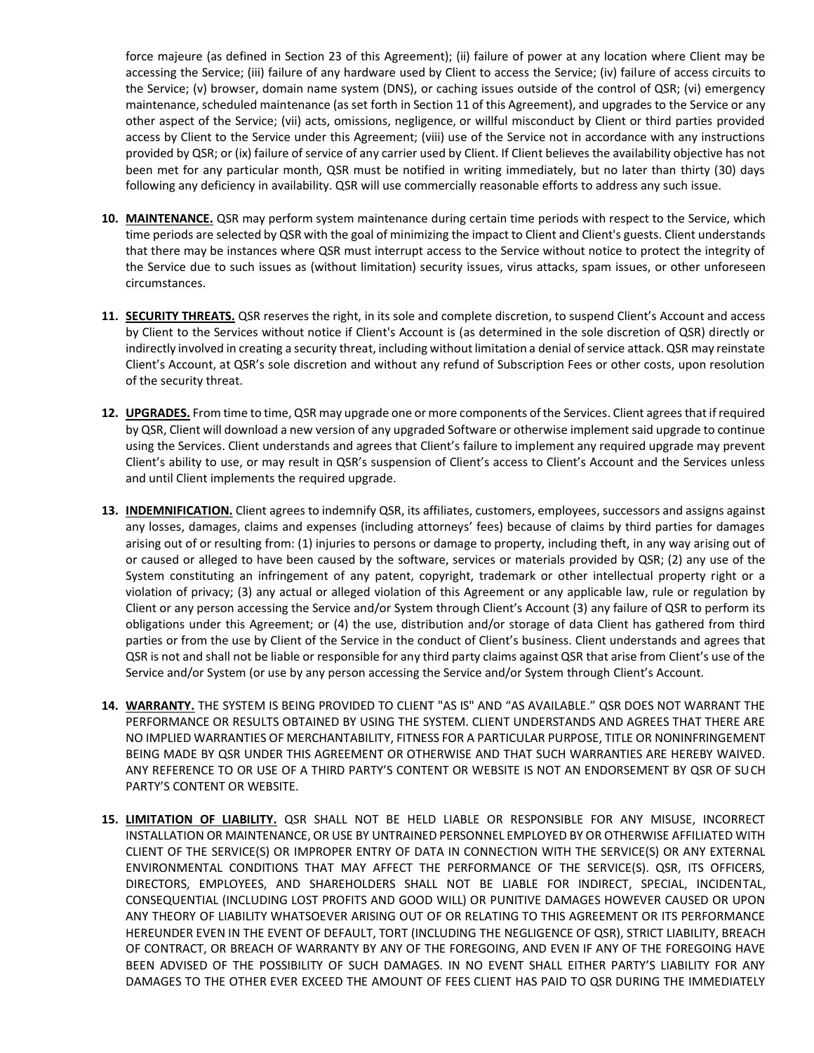force majeure (as defined in Section 23 of this Agreement); (ii) failure of power at any location where Client may be accessing the Service; (iii) failure of any hardware used by Client to access the Service; (iv) failure of access circuits to the Service; (v) browser, domain name system (DNS), or caching issues outside of the control of QSR; (vi) emergency maintenance, scheduled maintenance (as set forth in Section 11 of this Agreement), and upgrades to the Service or any other aspect of the Service; (vii) acts, omissions, negligence, or willful misconduct by Client or third parties provided access by Client to the Service under this Agreement; (viii) use of the Service not in accordance with any instructions provided by QSR; or (ix) failure of service of any carrier used by Client. If Client believes the availability objective has not been met for any particular month, QSR must be notified in writing immediately, but no later than thirty (30) days following any deficiency in availability. QSR will use commercially reasonable efforts to address any such issue.

- **10. MAINTENANCE.** QSR may perform system maintenance during certain time periods with respect to the Service, which time periods are selected by QSR with the goal of minimizing the impact to Client and Client's guests. Client understands that there may be instances where QSR must interrupt access to the Service without notice to protect the integrity of the Service due to such issues as (without limitation) security issues, virus attacks, spam issues, or other unforeseen circumstances.
- **11. SECURITY THREATS.** QSR reserves the right, in its sole and complete discretion, to suspend Client's Account and access by Client to the Services without notice if Client's Account is (as determined in the sole discretion of QSR) directly or indirectly involved in creating a security threat, including without limitation a denial of service attack. QSR may reinstate Client's Account, at QSR's sole discretion and without any refund of Subscription Fees or other costs, upon resolution of the security threat.
- **12. UPGRADES.** From time to time, QSR may upgrade one or more components of the Services. Client agrees that if required by QSR, Client will download a new version of any upgraded Software or otherwise implement said upgrade to continue using the Services. Client understands and agrees that Client's failure to implement any required upgrade may prevent Client's ability to use, or may result in QSR's suspension of Client's access to Client's Account and the Services unless and until Client implements the required upgrade.
- **13. INDEMNIFICATION.** Client agrees to indemnify QSR, its affiliates, customers, employees, successors and assigns against any losses, damages, claims and expenses (including attorneys' fees) because of claims by third parties for damages arising out of or resulting from: (1) injuries to persons or damage to property, including theft, in any way arising out of or caused or alleged to have been caused by the software, services or materials provided by QSR; (2) any use of the System constituting an infringement of any patent, copyright, trademark or other intellectual property right or a violation of privacy; (3) any actual or alleged violation of this Agreement or any applicable law, rule or regulation by Client or any person accessing the Service and/or System through Client's Account (3) any failure of QSR to perform its obligations under this Agreement; or (4) the use, distribution and/or storage of data Client has gathered from third parties or from the use by Client of the Service in the conduct of Client's business. Client understands and agrees that QSR is not and shall not be liable or responsible for any third party claims against QSR that arise from Client's use of the Service and/or System (or use by any person accessing the Service and/or System through Client's Account.
- **14. WARRANTY.** THE SYSTEM IS BEING PROVIDED TO CLIENT "AS IS" AND "AS AVAILABLE." QSR DOES NOT WARRANT THE PERFORMANCE OR RESULTS OBTAINED BY USING THE SYSTEM. CLIENT UNDERSTANDS AND AGREES THAT THERE ARE NO IMPLIED WARRANTIES OF MERCHANTABILITY, FITNESS FOR A PARTICULAR PURPOSE, TITLE OR NONINFRINGEMENT BEING MADE BY QSR UNDER THIS AGREEMENT OR OTHERWISE AND THAT SUCH WARRANTIES ARE HEREBY WAIVED. ANY REFERENCE TO OR USE OF A THIRD PARTY'S CONTENT OR WEBSITE IS NOT AN ENDORSEMENT BY QSR OF SUCH PARTY'S CONTENT OR WEBSITE.
- **15. LIMITATION OF LIABILITY.** QSR SHALL NOT BE HELD LIABLE OR RESPONSIBLE FOR ANY MISUSE, INCORRECT INSTALLATION OR MAINTENANCE, OR USE BY UNTRAINED PERSONNEL EMPLOYED BY OR OTHERWISE AFFILIATED WITH CLIENT OF THE SERVICE(S) OR IMPROPER ENTRY OF DATA IN CONNECTION WITH THE SERVICE(S) OR ANY EXTERNAL ENVIRONMENTAL CONDITIONS THAT MAY AFFECT THE PERFORMANCE OF THE SERVICE(S). QSR, ITS OFFICERS, DIRECTORS, EMPLOYEES, AND SHAREHOLDERS SHALL NOT BE LIABLE FOR INDIRECT, SPECIAL, INCIDENTAL, CONSEQUENTIAL (INCLUDING LOST PROFITS AND GOOD WILL) OR PUNITIVE DAMAGES HOWEVER CAUSED OR UPON ANY THEORY OF LIABILITY WHATSOEVER ARISING OUT OF OR RELATING TO THIS AGREEMENT OR ITS PERFORMANCE HEREUNDER EVEN IN THE EVENT OF DEFAULT, TORT (INCLUDING THE NEGLIGENCE OF QSR), STRICT LIABILITY, BREACH OF CONTRACT, OR BREACH OF WARRANTY BY ANY OF THE FOREGOING, AND EVEN IF ANY OF THE FOREGOING HAVE BEEN ADVISED OF THE POSSIBILITY OF SUCH DAMAGES. IN NO EVENT SHALL EITHER PARTY'S LIABILITY FOR ANY DAMAGES TO THE OTHER EVER EXCEED THE AMOUNT OF FEES CLIENT HAS PAID TO QSR DURING THE IMMEDIATELY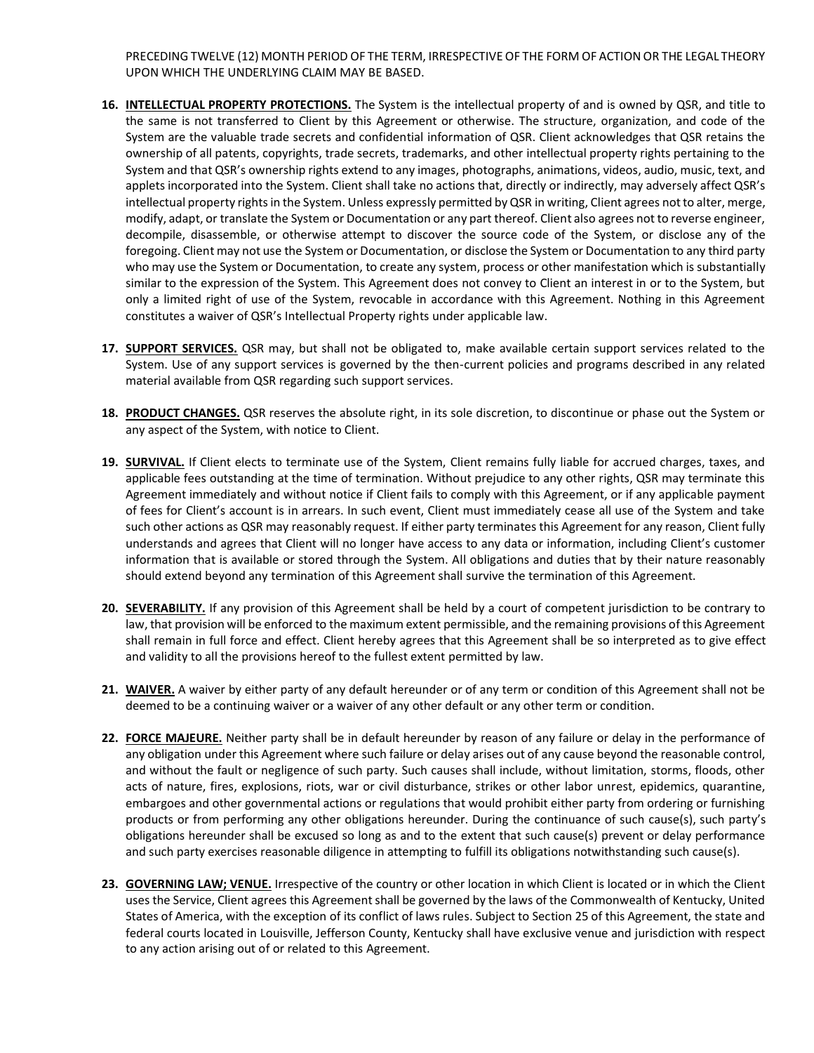PRECEDING TWELVE (12) MONTH PERIOD OF THE TERM, IRRESPECTIVE OF THE FORM OF ACTION OR THE LEGAL THEORY UPON WHICH THE UNDERLYING CLAIM MAY BE BASED.

- **16. INTELLECTUAL PROPERTY PROTECTIONS.** The System is the intellectual property of and is owned by QSR, and title to the same is not transferred to Client by this Agreement or otherwise. The structure, organization, and code of the System are the valuable trade secrets and confidential information of QSR. Client acknowledges that QSR retains the ownership of all patents, copyrights, trade secrets, trademarks, and other intellectual property rights pertaining to the System and that QSR's ownership rights extend to any images, photographs, animations, videos, audio, music, text, and applets incorporated into the System. Client shall take no actions that, directly or indirectly, may adversely affect QSR's intellectual property rights in the System. Unless expressly permitted by QSR in writing, Client agrees not to alter, merge, modify, adapt, or translate the System or Documentation or any part thereof. Client also agrees not to reverse engineer, decompile, disassemble, or otherwise attempt to discover the source code of the System, or disclose any of the foregoing. Client may not use the System or Documentation, or disclose the System or Documentation to any third party who may use the System or Documentation, to create any system, process or other manifestation which is substantially similar to the expression of the System. This Agreement does not convey to Client an interest in or to the System, but only a limited right of use of the System, revocable in accordance with this Agreement. Nothing in this Agreement constitutes a waiver of QSR's Intellectual Property rights under applicable law.
- **17. SUPPORT SERVICES.** QSR may, but shall not be obligated to, make available certain support services related to the System. Use of any support services is governed by the then-current policies and programs described in any related material available from QSR regarding such support services.
- **18. PRODUCT CHANGES.** QSR reserves the absolute right, in its sole discretion, to discontinue or phase out the System or any aspect of the System, with notice to Client.
- **19. SURVIVAL.** If Client elects to terminate use of the System, Client remains fully liable for accrued charges, taxes, and applicable fees outstanding at the time of termination. Without prejudice to any other rights, QSR may terminate this Agreement immediately and without notice if Client fails to comply with this Agreement, or if any applicable payment of fees for Client's account is in arrears. In such event, Client must immediately cease all use of the System and take such other actions as QSR may reasonably request. If either party terminates this Agreement for any reason, Client fully understands and agrees that Client will no longer have access to any data or information, including Client's customer information that is available or stored through the System. All obligations and duties that by their nature reasonably should extend beyond any termination of this Agreement shall survive the termination of this Agreement.
- **20. SEVERABILITY.** If any provision of this Agreement shall be held by a court of competent jurisdiction to be contrary to law, that provision will be enforced to the maximum extent permissible, and the remaining provisions of this Agreement shall remain in full force and effect. Client hereby agrees that this Agreement shall be so interpreted as to give effect and validity to all the provisions hereof to the fullest extent permitted by law.
- **21. WAIVER.** A waiver by either party of any default hereunder or of any term or condition of this Agreement shall not be deemed to be a continuing waiver or a waiver of any other default or any other term or condition.
- **22. FORCE MAJEURE.** Neither party shall be in default hereunder by reason of any failure or delay in the performance of any obligation under this Agreement where such failure or delay arises out of any cause beyond the reasonable control, and without the fault or negligence of such party. Such causes shall include, without limitation, storms, floods, other acts of nature, fires, explosions, riots, war or civil disturbance, strikes or other labor unrest, epidemics, quarantine, embargoes and other governmental actions or regulations that would prohibit either party from ordering or furnishing products or from performing any other obligations hereunder. During the continuance of such cause(s), such party's obligations hereunder shall be excused so long as and to the extent that such cause(s) prevent or delay performance and such party exercises reasonable diligence in attempting to fulfill its obligations notwithstanding such cause(s).
- **23. GOVERNING LAW; VENUE.** Irrespective of the country or other location in which Client is located or in which the Client uses the Service, Client agrees this Agreement shall be governed by the laws of the Commonwealth of Kentucky, United States of America, with the exception of its conflict of laws rules. Subject to Section 25 of this Agreement, the state and federal courts located in Louisville, Jefferson County, Kentucky shall have exclusive venue and jurisdiction with respect to any action arising out of or related to this Agreement.